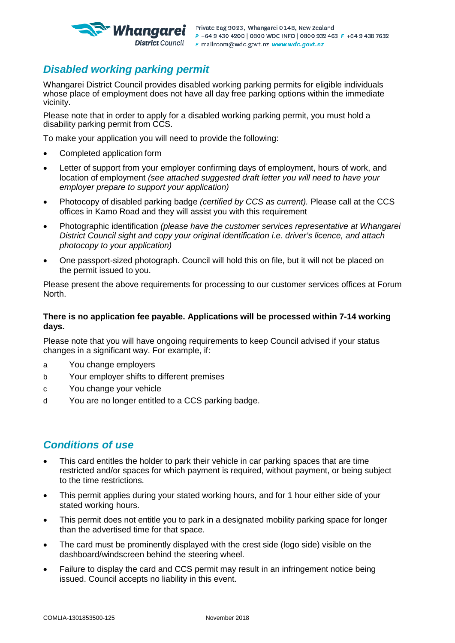

## *Disabled working parking permit*

Whangarei District Council provides disabled working parking permits for eligible individuals whose place of employment does not have all day free parking options within the immediate vicinity.

Please note that in order to apply for a disabled working parking permit, you must hold a disability parking permit from CCS.

To make your application you will need to provide the following:

- Completed application form
- Letter of support from your employer confirming days of employment, hours of work, and location of employment *(see attached suggested draft letter you will need to have your employer prepare to support your application)*
- Photocopy of disabled parking badge *(certified by CCS as current).* Please call at the CCS offices in Kamo Road and they will assist you with this requirement
- Photographic identification *(please have the customer services representative at Whangarei District Council sight and copy your original identification i.e. driver's licence, and attach photocopy to your application)*
- One passport-sized photograph. Council will hold this on file, but it will not be placed on the permit issued to you.

Please present the above requirements for processing to our customer services offices at Forum North.

#### **There is no application fee payable. Applications will be processed within 7-14 working days.**

Please note that you will have ongoing requirements to keep Council advised if your status changes in a significant way. For example, if:

- a You change employers
- b Your employer shifts to different premises
- c You change your vehicle
- d You are no longer entitled to a CCS parking badge.

## *Conditions of use*

- This card entitles the holder to park their vehicle in car parking spaces that are time restricted and/or spaces for which payment is required, without payment, or being subject to the time restrictions.
- This permit applies during your stated working hours, and for 1 hour either side of your stated working hours.
- This permit does not entitle you to park in a designated mobility parking space for longer than the advertised time for that space.
- The card must be prominently displayed with the crest side (logo side) visible on the dashboard/windscreen behind the steering wheel.
- Failure to display the card and CCS permit may result in an infringement notice being issued. Council accepts no liability in this event.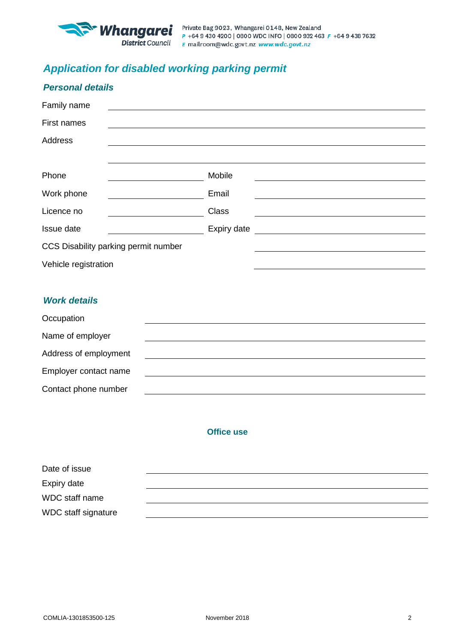

# *Application for disabled working parking permit*

| <b>Personal details</b>              |                                                                                                                      |                                                      |
|--------------------------------------|----------------------------------------------------------------------------------------------------------------------|------------------------------------------------------|
| Family name                          |                                                                                                                      |                                                      |
| First names                          | <u> 1989 - John Stein, amerikansk politiker (* 1989)</u>                                                             |                                                      |
| <b>Address</b>                       |                                                                                                                      |                                                      |
|                                      |                                                                                                                      |                                                      |
| Phone                                | Mobile                                                                                                               |                                                      |
| Work phone                           | Email                                                                                                                |                                                      |
| Licence no                           | <b>Class</b>                                                                                                         | <u> 1989 - Johann Barn, fransk politik (f. 1989)</u> |
| Issue date                           | Expiry date                                                                                                          |                                                      |
| CCS Disability parking permit number |                                                                                                                      |                                                      |
| Vehicle registration                 |                                                                                                                      |                                                      |
|                                      |                                                                                                                      |                                                      |
| <b>Work details</b>                  |                                                                                                                      |                                                      |
| Occupation                           |                                                                                                                      |                                                      |
| Name of employer                     |                                                                                                                      |                                                      |
| Address of employment                |                                                                                                                      |                                                      |
| Employer contact name                | <u> 1989 - Johann Barbara, martxa alemaniar argumento de la contrada de la contrada de la contrada de la contrad</u> |                                                      |
| Contact phone number                 |                                                                                                                      |                                                      |

### **Office use**

| Date of issue              |  |
|----------------------------|--|
| Expiry date                |  |
| WDC staff name             |  |
| <b>WDC</b> staff signature |  |